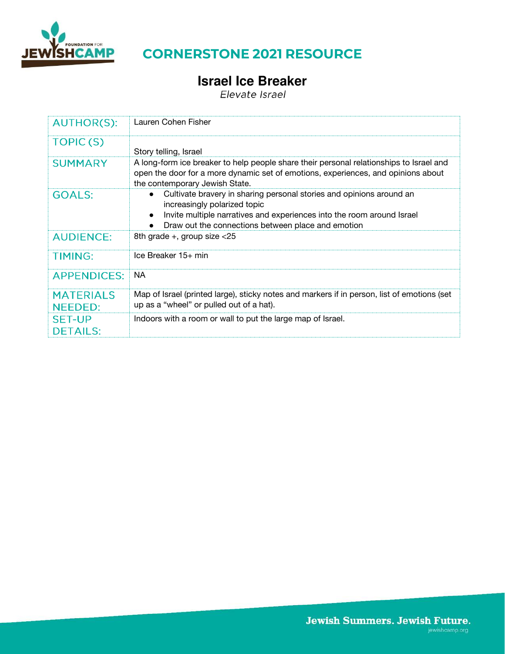

# **Israel Ice Breaker**

| <b>AUTHOR(S):</b>                  | Lauren Cohen Fisher                                                                                                                                                                                                                  |
|------------------------------------|--------------------------------------------------------------------------------------------------------------------------------------------------------------------------------------------------------------------------------------|
| TOPIC(S)                           | Story telling, Israel                                                                                                                                                                                                                |
| <b>SUMMARY</b>                     | A long-form ice breaker to help people share their personal relationships to Israel and<br>open the door for a more dynamic set of emotions, experiences, and opinions about<br>the contemporary Jewish State.                       |
| <b>GOALS:</b>                      | Cultivate bravery in sharing personal stories and opinions around an<br>increasingly polarized topic<br>Invite multiple narratives and experiences into the room around Israel<br>Draw out the connections between place and emotion |
| <b>AUDIENCE:</b>                   | 8th grade +, group size $<$ 25                                                                                                                                                                                                       |
| <b>TIMING:</b>                     | Ice Breaker 15+ min                                                                                                                                                                                                                  |
| <b>APPENDICES:</b>                 | <b>NA</b>                                                                                                                                                                                                                            |
| <b>MATERIALS</b><br><b>NEEDED:</b> | Map of Israel (printed large), sticky notes and markers if in person, list of emotions (set<br>up as a "wheel" or pulled out of a hat).                                                                                              |
| <b>SET-UP</b><br><b>DETAILS:</b>   | Indoors with a room or wall to put the large map of Israel.                                                                                                                                                                          |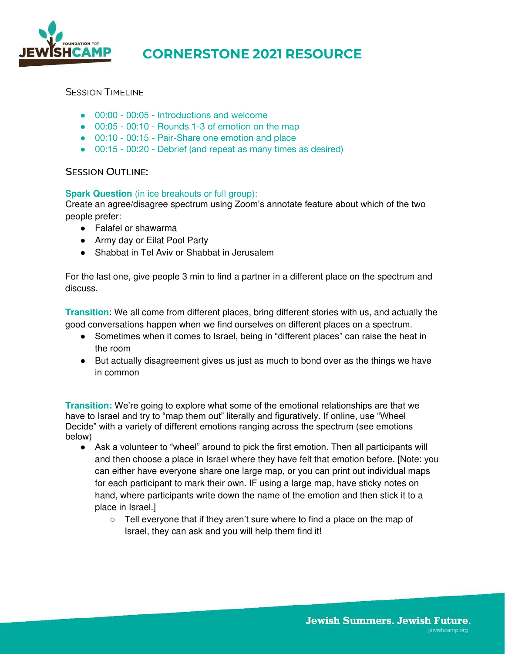

#### **SESSION TIMELINE**

- 00:00 00:05 Introductions and welcome
- 00:05 00:10 Rounds 1-3 of emotion on the map
- 00:10 00:15 Pair-Share one emotion and place
- 00:15 00:20 Debrief (and repeat as many times as desired)

#### **SESSION OUTLINE:**

#### **Spark Question** (in ice breakouts or full group):

Create an agree/disagree spectrum using Zoom's annotate feature about which of the two people prefer:

- Falafel or shawarma
- Army day or Eilat Pool Party
- Shabbat in Tel Aviv or Shabbat in Jerusalem

For the last one, give people 3 min to find a partner in a different place on the spectrum and discuss.

**Transition**: We all come from different places, bring different stories with us, and actually the good conversations happen when we find ourselves on different places on a spectrum.

- Sometimes when it comes to Israel, being in "different places" can raise the heat in the room
- But actually disagreement gives us just as much to bond over as the things we have in common

**Transition:** We're going to explore what some of the emotional relationships are that we have to Israel and try to "map them out" literally and figuratively. If online, use "Wheel Decide" with a variety of different emotions ranging across the spectrum (see emotions below)

- Ask a volunteer to "wheel" around to pick the first emotion. Then all participants will and then choose a place in Israel where they have felt that emotion before. [Note: you can either have everyone share one large map, or you can print out individual maps for each participant to mark their own. IF using a large map, have sticky notes on hand, where participants write down the name of the emotion and then stick it to a place in Israel.]
	- Tell everyone that if they aren't sure where to find a place on the map of Israel, they can ask and you will help them find it!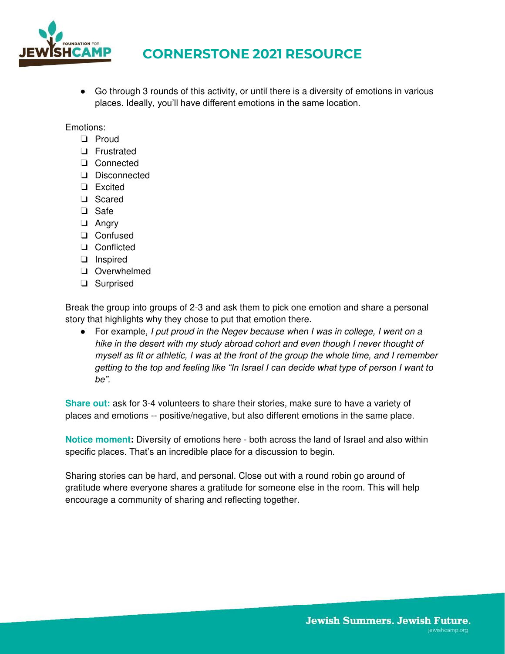

● Go through 3 rounds of this activity, or until there is a diversity of emotions in various places. Ideally, you'll have different emotions in the same location.

Emotions:

- ❏ Proud
- ❏ Frustrated
- ❏ Connected
- ❏ Disconnected
- ❏ Excited
- ❏ Scared
- ❏ Safe
- ❏ Angry
- ❏ Confused
- ❏ Conflicted
- ❏ Inspired
- ❏ Overwhelmed
- ❏ Surprised

Break the group into groups of 2-3 and ask them to pick one emotion and share a personal story that highlights why they chose to put that emotion there.

● For example, I put proud in the Negev because when I was in college, I went on a hike in the desert with my study abroad cohort and even though I never thought of myself as fit or athletic, I was at the front of the group the whole time, and I remember *getting to the top and feeling like "In Israel I can decide what type of person I want to be".*

**Share out:** ask for 3-4 volunteers to share their stories, make sure to have a variety of places and emotions -- positive/negative, but also different emotions in the same place.

**Notice moment:** Diversity of emotions here - both across the land of Israel and also within specific places. That's an incredible place for a discussion to begin.

Sharing stories can be hard, and personal. Close out with a round robin go around of gratitude where everyone shares a gratitude for someone else in the room. This will help encourage a community of sharing and reflecting together.